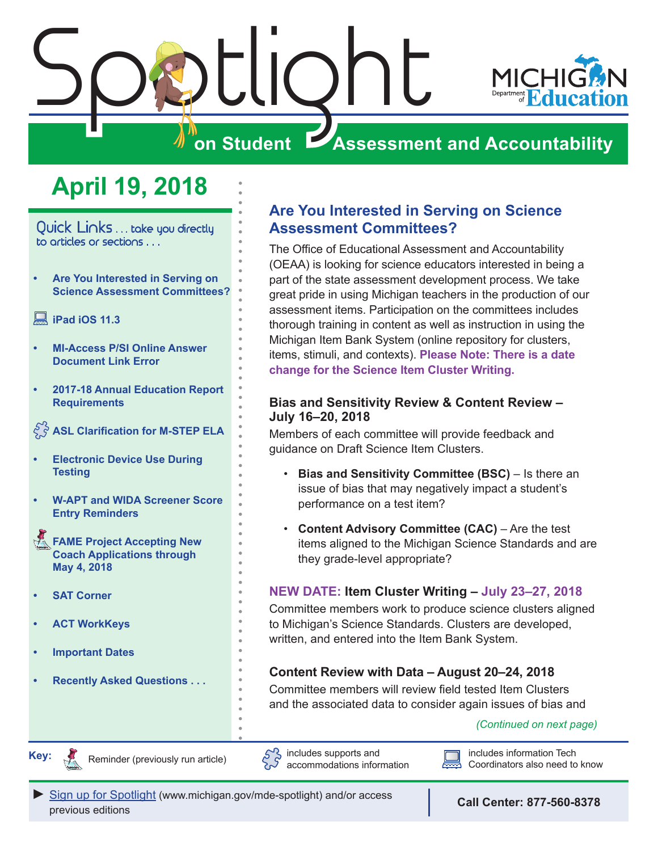<span id="page-0-0"></span>

# **April 19, 2018**

Quick Links . . . take you directly to articles or sections . . .

**• Are You Interested in Serving on Science Assessment Committees?**

## **[iPad iOS 11.3](#page-1-0)**

- **• [MI-Access P/SI Online Answer](#page-1-0)  [Document Link Error](#page-1-0)**
- **• [2017-18 Annual Education Report](#page-1-0)  [Requirements](#page-1-0)**

**[ASL Clarification for M-STEP ELA](#page-1-0)**

- **• [Electronic Device Use During](#page-2-0)  [Testing](#page-2-0)**
- **• [W-APT and WIDA Screener Score](#page-2-0)  [Entry Reminders](#page-2-0)**

**FAME Project Accepting New [Coach Applications through](#page-3-0)  [May 4, 2018](#page-3-0)**

- **• [SAT Corner](#page-4-0)**
- **• [ACT WorkKeys](#page-5-0)**
- **• [Important Dates](#page-7-0)**
- **• [Recently Asked Questions . . .](#page-8-0)**

## **Are You Interested in Serving on Science Assessment Committees?**

The Office of Educational Assessment and Accountability (OEAA) is looking for science educators interested in being a part of the state assessment development process. We take great pride in using Michigan teachers in the production of our assessment items. Participation on the committees includes thorough training in content as well as instruction in using the Michigan Item Bank System (online repository for clusters, items, stimuli, and contexts). **Please Note: There is a date change for the Science Item Cluster Writing.**

## **Bias and Sensitivity Review & Content Review – July 16–20, 2018**

Members of each committee will provide feedback and guidance on Draft Science Item Clusters.

- **Bias and Sensitivity Committee (BSC)**  Is there an issue of bias that may negatively impact a student's performance on a test item?
- **Content Advisory Committee (CAC)**  Are the test items aligned to the Michigan Science Standards and are they grade-level appropriate?

## **NEW DATE: Item Cluster Writing – July 23–27, 2018**

Committee members work to produce science clusters aligned to Michigan's Science Standards. Clusters are developed, written, and entered into the Item Bank System.

## **Content Review with Data – August 20–24, 2018**

Committee members will review field tested Item Clusters and the associated data to consider again issues of bias and

## *(Continued on next page)*



Reminders

Reminder (previously run article)





includes information Tech Coordinators also need to know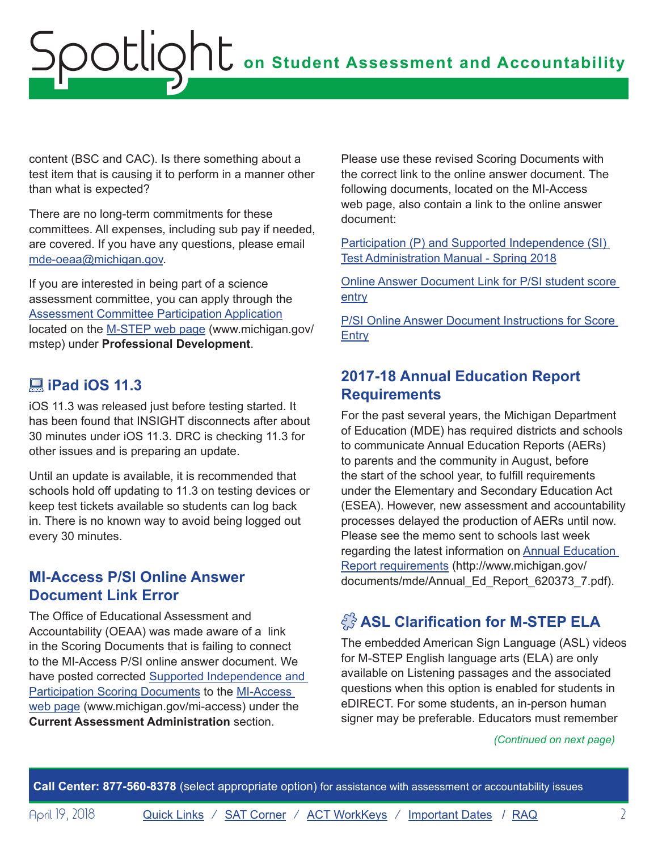<span id="page-1-0"></span>content (BSC and CAC). Is there something about a test item that is causing it to perform in a manner other than what is expected?

There are no long-term commitments for these committees. All expenses, including sub pay if needed, are covered. If you have any questions, please email [mde-oeaa@michigan.gov.](mailto:mde-oeaa%40michigan.gov?subject=)

If you are interested in being part of a science assessment committee, you can apply through the [Assessment Committee Participation Application](http://www.cvent.com/surveys/Questions/IDConfirm.aspx?s=06002a4e-c578-417d-807f-542787fad180) located on the [M-STEP web page](www.michigan.gov/mstep) (www.michigan.gov/ mstep) under **Professional Development**.

# **iPad iOS 11.3**

iOS 11.3 was released just before testing started. It has been found that INSIGHT disconnects after about 30 minutes under iOS 11.3. DRC is checking 11.3 for other issues and is preparing an update.

Until an update is available, it is recommended that schools hold off updating to 11.3 on testing devices or keep test tickets available so students can log back in. There is no known way to avoid being logged out every 30 minutes.

# **MI-Access P/SI Online Answer Document Link Error**

The Office of Educational Assessment and Accountability (OEAA) was made aware of a link in the Scoring Documents that is failing to connect to the MI-Access P/SI online answer document. We have posted corrected [Supported Independence and](http://www.michigan.gov/mde/0,4615,7-140-22709_28463-402701--,00.html)  [Participation Scoring Documents](http://www.michigan.gov/mde/0,4615,7-140-22709_28463-402701--,00.html) to the [MI-Access](http://www.michigan.gov/mi-access)  [web page](http://www.michigan.gov/mi-access) (www.michigan.gov/mi-access) under the **Current Assessment Administration** section.

Please use these revised Scoring Documents with the correct link to the online answer document. The following documents, located on the MI-Access web page, also contain a link to the online answer document:

[Participation \(P\) and Supported Independence \(SI\)](http://www.michigan.gov/documents/mde/S18_MI-Access_P-SI_TAM-Final_616659_7.pdf)  [Test Administration Manual - Spring 2018](http://www.michigan.gov/documents/mde/S18_MI-Access_P-SI_TAM-Final_616659_7.pdf)

[Online Answer Document Link for P/SI student score](https://www.surveysdrc.com/mi/mi2018/logon.aspx)  [entry](https://www.surveysdrc.com/mi/mi2018/logon.aspx)

[P/SI Online Answer Document Instructions for Score](http://www.michigan.gov/documents/mde/P-SI_Online_Answer_Document_-_Instructions_522454_7.pdf)  **[Entry](http://www.michigan.gov/documents/mde/P-SI_Online_Answer_Document_-_Instructions_522454_7.pdf)** 

# **2017-18 Annual Education Report Requirements**

For the past several years, the Michigan Department of Education (MDE) has required districts and schools to communicate Annual Education Reports (AERs) to parents and the community in August, before the start of the school year, to fulfill requirements under the Elementary and Secondary Education Act (ESEA). However, new assessment and accountability processes delayed the production of AERs until now. Please see the memo sent to schools last week regarding the latest information on [Annual Education](http://www.michigan.gov/documents/mde/Annual_Ed_Report_620373_7.pdf)  [Report requirements](http://www.michigan.gov/documents/mde/Annual_Ed_Report_620373_7.pdf) (http://www.michigan.gov/ documents/mde/Annual\_Ed\_Report\_620373\_7.pdf).

# **ASL Clarification for M-STEP ELA**

The embedded American Sign Language (ASL) videos for M-STEP English language arts (ELA) are only available on Listening passages and the associated questions when this option is enabled for students in eDIRECT. For some students, an in-person human signer may be preferable. Educators must remember

## *(Continued on next page)*

**Call Center: 877-560-8378** (select appropriate option) for assistance with assessment or accountability issues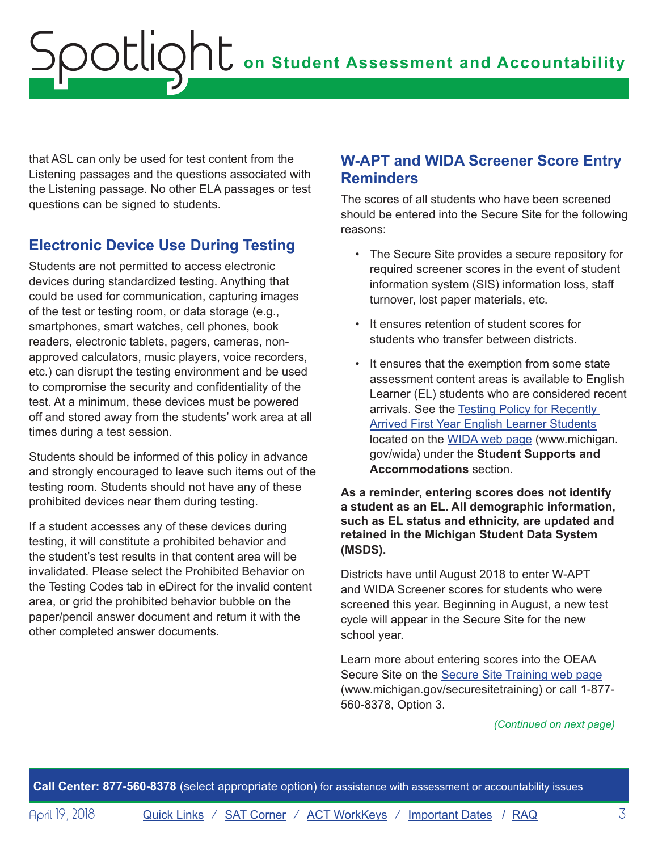<span id="page-2-0"></span>that ASL can only be used for test content from the Listening passages and the questions associated with the Listening passage. No other ELA passages or test questions can be signed to students.

# **Electronic Device Use During Testing**

Students are not permitted to access electronic devices during standardized testing. Anything that could be used for communication, capturing images of the test or testing room, or data storage (e.g., smartphones, smart watches, cell phones, book readers, electronic tablets, pagers, cameras, nonapproved calculators, music players, voice recorders, etc.) can disrupt the testing environment and be used to compromise the security and confidentiality of the test. At a minimum, these devices must be powered off and stored away from the students' work area at all times during a test session.

Students should be informed of this policy in advance and strongly encouraged to leave such items out of the testing room. Students should not have any of these prohibited devices near them during testing.

If a student accesses any of these devices during testing, it will constitute a prohibited behavior and the student's test results in that content area will be invalidated. Please select the Prohibited Behavior on the Testing Codes tab in eDirect for the invalid content area, or grid the prohibited behavior bubble on the paper/pencil answer document and return it with the other completed answer documents.

# **W-APT and WIDA Screener Score Entry Reminders**

The scores of all students who have been screened should be entered into the Secure Site for the following reasons:

- The Secure Site provides a secure repository for required screener scores in the event of student information system (SIS) information loss, staff turnover, lost paper materials, etc.
- It ensures retention of student scores for students who transfer between districts.
- It ensures that the exemption from some state assessment content areas is available to English Learner (EL) students who are considered recent arrivals. See the Testing Policy for Recently [Arrived First Year English Learner Students](http://www.michigan.gov/documents/mde/2018_EL_First-Year_Testing_Policy_608193_7.pdf) located on the [WIDA web page](www.michigan.gov/wida) (www.michigan. gov/wida) under the **Student Supports and Accommodations** section.

**As a reminder, entering scores does not identify a student as an EL. All demographic information, such as EL status and ethnicity, are updated and retained in the Michigan Student Data System (MSDS).**

Districts have until August 2018 to enter W-APT and WIDA Screener scores for students who were screened this year. Beginning in August, a new test cycle will appear in the Secure Site for the new school year.

Learn more about entering scores into the OEAA Secure Site on the [Secure Site Training web page](http://www.michigan.gov/securesitetraining) (www.michigan.gov/securesitetraining) or call 1-877- 560-8378, Option 3.

#### *(Continued on next page)*

**Call Center: 877-560-8378** (select appropriate option) for assistance with assessment or accountability issues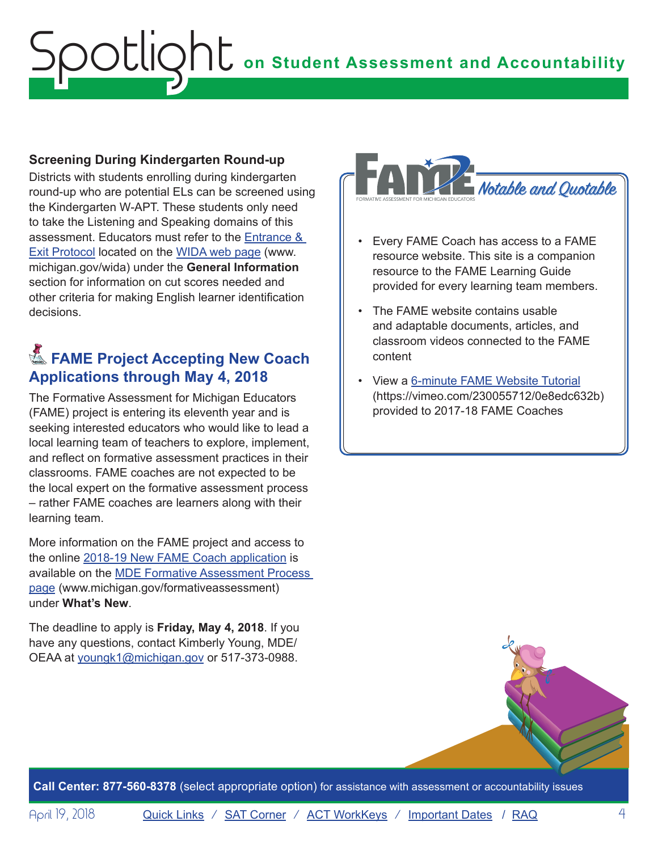## <span id="page-3-0"></span>**Screening During Kindergarten Round-up**

Districts with students enrolling during kindergarten round-up who are potential ELs can be screened using the Kindergarten W-APT. These students only need to take the Listening and Speaking domains of this assessment. Educators must refer to the [Entrance &](http://www.michigan.gov/mde/0,4615,7-140-81376_51051-252886--,00.html)  [Exit Protocol](http://www.michigan.gov/mde/0,4615,7-140-81376_51051-252886--,00.html) located on the [WIDA web page](www.michigan.gov/wida) (www. michigan.gov/wida) under the **General Information** section for information on cut scores needed and other criteria for making English learner identification decisions.

# **K** FAME Project Accepting New Coach **Applications through May 4, 2018**

The Formative Assessment for Michigan Educators (FAME) project is entering its eleventh year and is seeking interested educators who would like to lead a local learning team of teachers to explore, implement, and reflect on formative assessment practices in their classrooms. FAME coaches are not expected to be the local expert on the formative assessment process – rather FAME coaches are learners along with their learning team.

More information on the FAME project and access to the online [2018-19 New FAME Coach application](https://www.surveymonkey.com/r/FAMEnewcoaches) is available on the [MDE Formative Assessment Process](http://www.michigan.gov/formativeassessment)  [page](http://www.michigan.gov/formativeassessment) (www.michigan.gov/formativeassessment) under **What's New**.

The deadline to apply is **Friday, May 4, 2018**. If you have any questions, contact Kimberly Young, MDE/ OEAA at [youngk1@michigan.gov](mailto:youngk1%40michigan.gov?subject=) or 517-373-0988.



- Every FAME Coach has access to a FAME resource website. This site is a companion resource to the FAME Learning Guide provided for every learning team members.
- The FAME website contains usable and adaptable documents, articles, and classroom videos connected to the FAME content
- View a [6-minute FAME Website Tutorial](https://vimeo.com/230055712/0e8edc632b) ([https://vimeo.com/230055712/0e8edc632b\)]((https://vimeo.com/230055712/0e8edc632b)) provided to 2017-18 FAME Coaches

**Call Center: 877-560-8378** (select appropriate option) for assistance with assessment or accountability issues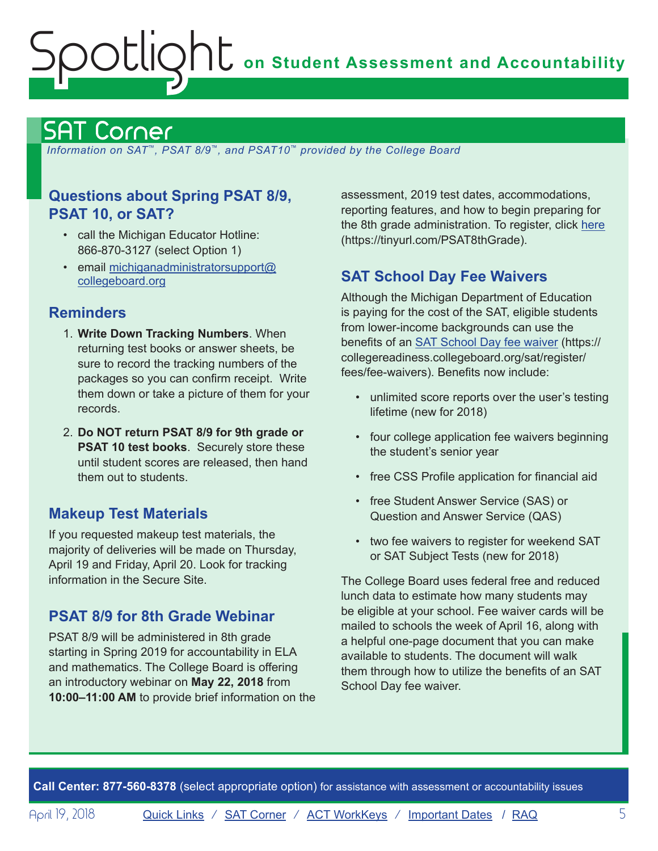# <span id="page-4-0"></span>**ONU** on Student Assessment and Accountability otlic

# <span id="page-4-1"></span>SAT Corner

 *Information on SAT*™*, PSAT 8/9*™*, and PSAT10*™ *provided by the College Board*

# **Questions about Spring PSAT 8/9, PSAT 10, or SAT?**

- call the Michigan Educator Hotline: 866-870-3127 (select Option 1)
- email [michiganadministratorsupport@](mailto:michiganadministratorsupport%40collegeboard.org?subject=) [collegeboard.org](mailto:michiganadministratorsupport%40collegeboard.org?subject=)

# **Reminders**

- 1. **Write Down Tracking Numbers**. When returning test books or answer sheets, be sure to record the tracking numbers of the packages so you can confirm receipt. Write them down or take a picture of them for your records.
- 2. **Do NOT return PSAT 8/9 for 9th grade or PSAT 10 test books**. Securely store these until student scores are released, then hand them out to students.

# **Makeup Test Materials**

If you requested makeup test materials, the majority of deliveries will be made on Thursday, April 19 and Friday, April 20. Look for tracking information in the Secure Site.

# **PSAT 8/9 for 8th Grade Webinar**

PSAT 8/9 will be administered in 8th grade starting in Spring 2019 for accountability in ELA and mathematics. The College Board is offering an introductory webinar on **May 22, 2018** from **10:00–11:00 AM** to provide brief information on the assessment, 2019 test dates, accommodations, reporting features, and how to begin preparing for the 8th grade administration. To register, click [here](https://tinyurl.com/PSAT8thGrade) (https://tinyurl.com/PSAT8thGrade).

# **SAT School Day Fee Waivers**

Although the Michigan Department of Education is paying for the cost of the SAT, eligible students from lower-income backgrounds can use the benefits of an **SAT School Day fee waiver** (https:// collegereadiness.collegeboard.org/sat/register/ fees/fee-waivers). Benefits now include:

- unlimited score reports over the user's testing lifetime (new for 2018)
- four college application fee waivers beginning the student's senior year
- free CSS Profile application for financial aid
- free Student Answer Service (SAS) or Question and Answer Service (QAS)
- two fee waivers to register for weekend SAT or SAT Subject Tests (new for 2018)

The College Board uses federal free and reduced lunch data to estimate how many students may be eligible at your school. Fee waiver cards will be mailed to schools the week of April 16, along with a helpful one-page document that you can make available to students. The document will walk them through how to utilize the benefits of an SAT School Day fee waiver.

**Call Center: 877-560-8378** (select appropriate option) for assistance with assessment or accountability issues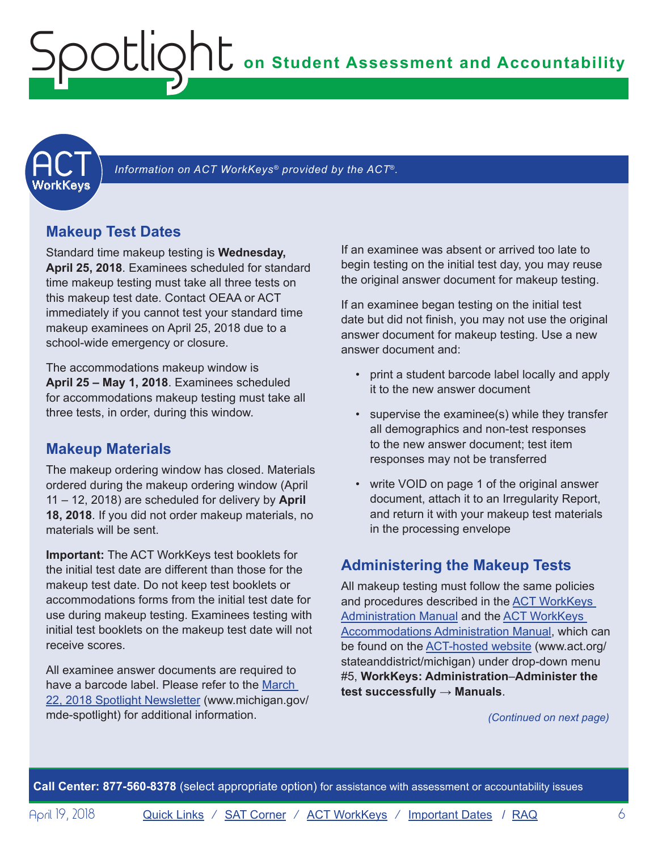<span id="page-5-1"></span><span id="page-5-0"></span>

Information on ACT WorkKeys<sup>®</sup> provided by the ACT<sup>®</sup>.

## **Makeup Test Dates**

Standard time makeup testing is **Wednesday, April 25, 2018**. Examinees scheduled for standard time makeup testing must take all three tests on this makeup test date. Contact OEAA or ACT immediately if you cannot test your standard time makeup examinees on April 25, 2018 due to a school-wide emergency or closure.

The accommodations makeup window is **April 25 – May 1, 2018**. Examinees scheduled for accommodations makeup testing must take all three tests, in order, during this window.

## **Makeup Materials**

The makeup ordering window has closed. Materials ordered during the makeup ordering window (April 11 – 12, 2018) are scheduled for delivery by **April 18, 2018**. If you did not order makeup materials, no materials will be sent.

**Important:** The ACT WorkKeys test booklets for the initial test date are different than those for the makeup test date. Do not keep test booklets or accommodations forms from the initial test date for use during makeup testing. Examinees testing with initial test booklets on the makeup test date will not receive scores.

All examinee answer documents are required to have a barcode label. Please refer to the [March](http://www.michigan.gov/documents/mde/Spotlight_3-22-18_618209_7.pdf)  [22, 2018 Spotlight Newsletter](http://www.michigan.gov/documents/mde/Spotlight_3-22-18_618209_7.pdf) (www.michigan.gov/ mde-spotlight) for additional information.

If an examinee was absent or arrived too late to begin testing on the initial test day, you may reuse the original answer document for makeup testing.

If an examinee began testing on the initial test date but did not finish, you may not use the original answer document for makeup testing. Use a new answer document and:

- print a student barcode label locally and apply it to the new answer document
- supervise the examinee(s) while they transfer all demographics and non-test responses to the new answer document; test item responses may not be transferred
- write VOID on page 1 of the original answer document, attach it to an Irregularity Report, and return it with your makeup test materials in the processing envelope

# **Administering the Makeup Tests**

All makeup testing must follow the same policies and procedures described in the [ACT WorkKeys](http://www.act.org/content/dam/act/secured/documents/pdfs/WK-Admin-SD-Std-Time-Paper-Secured.pdf)  [Administration Manual](http://www.act.org/content/dam/act/secured/documents/pdfs/WK-Admin-SD-Std-Time-Paper-Secured.pdf) and the [ACT WorkKeys](http://www.act.org/content/dam/act/secured/documents/pdfs/WK-Admin-SD-Accoms-Secured.pdf)  [Accommodations Administration Manual](http://www.act.org/content/dam/act/secured/documents/pdfs/WK-Admin-SD-Accoms-Secured.pdf), which can be found on the [ACT-hosted website](http://www.act.org/stateanddistrict/michigan) (www.act.org/ stateanddistrict/michigan) under drop-down menu #5, **WorkKeys: Administration**–**Administer the test successfully** → **Manuals**.

*(Continued on next page)*

**Call Center: 877-560-8378** (select appropriate option) for assistance with assessment or accountability issues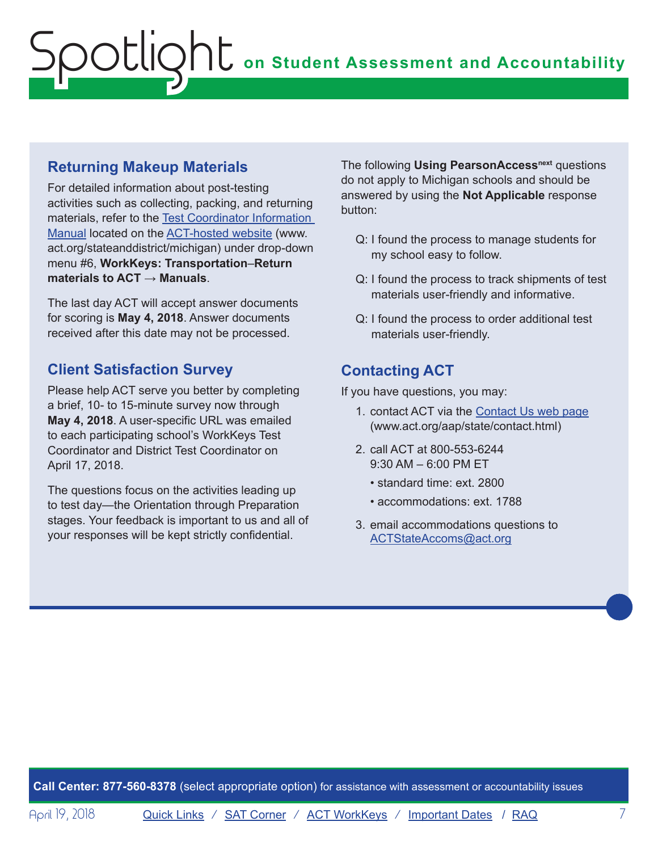## **Returning Makeup Materials**

For detailed information about post-testing activities such as collecting, packing, and returning materials, refer to the [Test Coordinator Information](http://www.act.org/content/dam/act/secured/documents/pdfs/state-district-test-coordinator-paper-test.pdf)  [Manual](http://www.act.org/content/dam/act/secured/documents/pdfs/state-district-test-coordinator-paper-test.pdf) located on the [ACT-hosted website](http://www.act.org/stateanddistrict/michigan) (www. act.org/stateanddistrict/michigan) under drop-down menu #6, **WorkKeys: Transportation**–**Return materials to ACT** → **Manuals**.

The last day ACT will accept answer documents for scoring is **May 4, 2018**. Answer documents received after this date may not be processed.

# **Client Satisfaction Survey**

Please help ACT serve you better by completing a brief, 10- to 15-minute survey now through **May 4, 2018**. A user-specific URL was emailed to each participating school's WorkKeys Test Coordinator and District Test Coordinator on April 17, 2018.

The questions focus on the activities leading up to test day—the Orientation through Preparation stages. Your feedback is important to us and all of your responses will be kept strictly confidential.

The following **Using PearsonAccess<sup>next</sup> questions** do not apply to Michigan schools and should be answered by using the **Not Applicable** response button:

- Q: I found the process to manage students for my school easy to follow.
- Q: I found the process to track shipments of test materials user-friendly and informative.
- Q: I found the process to order additional test materials user-friendly.

# **Contacting ACT**

If you have questions, you may:

- 1. contact ACT via the [Contact Us web page](http://www.act.org/aap/state/contact.html) [\(www.act.org/aap/state/contact.html\)](www.act.org/aap/state/contact.html)
- 2. call ACT at 800-553-6244 9:30 AM – 6:00 PM ET
	- standard time: ext. 2800
	- accommodations: ext. 1788
- 3. email accommodations questions to [ACTStateAccoms@act.org](mailto:ACTStateAccoms%40act.org?subject=)

**Call Center: 877-560-8378** (select appropriate option) for assistance with assessment or accountability issues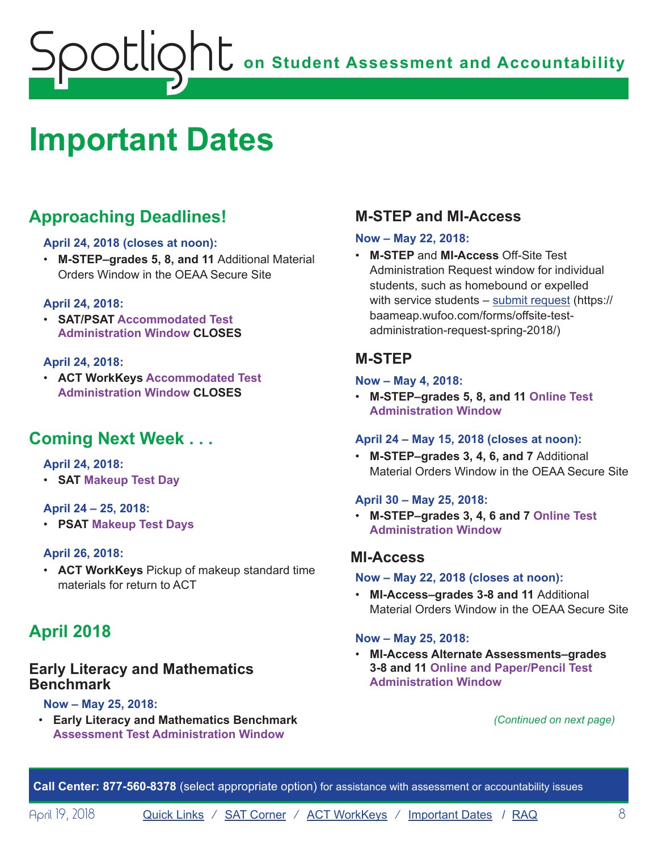# <span id="page-7-1"></span><span id="page-7-0"></span>**Important Dates**

# **Approaching Deadlines!**

## **April 24, 2018 (closes at noon):**

• **M-STEP–grades 5, 8, and 11** Additional Material Orders Window in the OEAA Secure Site

## **April 24, 2018:**

• **SAT/PSAT Accommodated Test Administration Window CLOSES**

## **April 24, 2018:**

• **ACT WorkKeys Accommodated Test Administration Window CLOSES**

# **Coming Next Week . . .**

## **April 24, 2018:**

• **SAT Makeup Test Day**

## **April 24 – 25, 2018:**

• **PSAT Makeup Test Days**

## **April 26, 2018:**

• **ACT WorkKeys** Pickup of makeup standard time materials for return to ACT

# **April 2018**

## **Early Literacy and Mathematics Benchmark**

## **Now – May 25, 2018:**

• **Early Literacy and Mathematics Benchmark Assessment Test Administration Window**

# **M-STEP and MI-Access**

## **Now – May 22, 2018:**

• **M-STEP** and **MI-Access** Off-Site Test Administration Request window for individual students, such as homebound or expelled with service students – [submit request](https://baameap.wufoo.com/forms/offsite-test-administration-request-spring-2018/) (https:// baameap.wufoo.com/forms/offsite-testadministration-request-spring-2018/)

## **M-STEP**

#### **Now – May 4, 2018:**

• **M-STEP–grades 5, 8, and 11 Online Test Administration Window**

## **April 24 – May 15, 2018 (closes at noon):**

• **M-STEP–grades 3, 4, 6, and 7** Additional Material Orders Window in the OEAA Secure Site

## **April 30 – May 25, 2018:**

• **M-STEP–grades 3, 4, 6 and 7 Online Test Administration Window**

## **MI-Access**

#### **Now – May 22, 2018 (closes at noon):**

• **MI-Access–grades 3-8 and 11** Additional Material Orders Window in the OEAA Secure Site

## **Now – May 25, 2018:**

• **MI-Access Alternate Assessments–grades 3-8 and 11 Online and Paper/Pencil Test Administration Window**

*(Continued on next page)*

**Call Center: 877-560-8378** (select appropriate option) for assistance with assessment or accountability issues